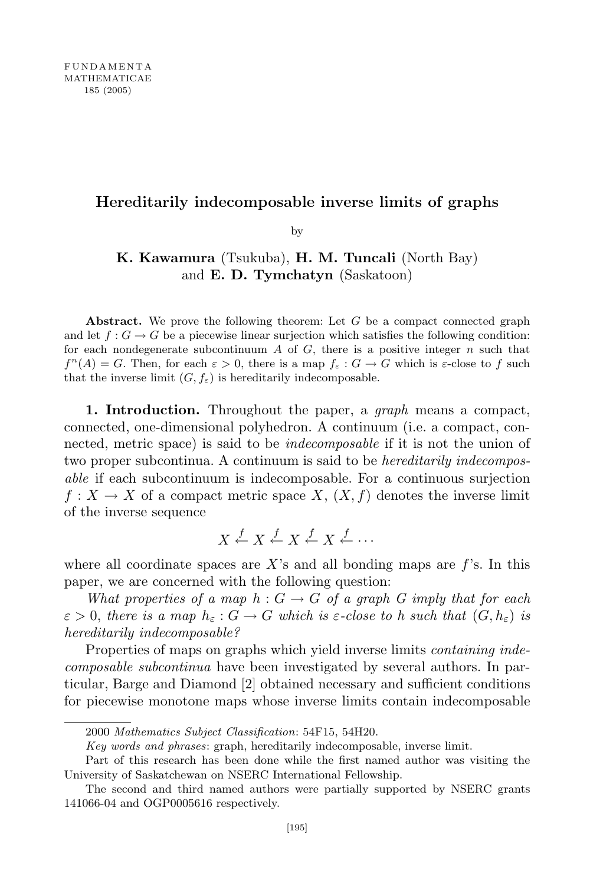## Hereditarily indecomposable inverse limits of graphs

by

## K. Kawamura (Tsukuba), H. M. Tuncali (North Bay) and E. D. Tymchatyn (Saskatoon)

Abstract. We prove the following theorem: Let  $G$  be a compact connected graph and let  $f: G \to G$  be a piecewise linear surjection which satisfies the following condition: for each nondegenerate subcontinuum A of G, there is a positive integer  $n$  such that  $f^{n}(A) = G$ . Then, for each  $\varepsilon > 0$ , there is a map  $f_{\varepsilon}: G \to G$  which is  $\varepsilon$ -close to f such that the inverse limit  $(G, f_{\varepsilon})$  is hereditarily indecomposable.

1. Introduction. Throughout the paper, a *graph* means a compact, connected, one-dimensional polyhedron. A continuum (i.e. a compact, connected, metric space) is said to be *indecomposable* if it is not the union of two proper subcontinua. A continuum is said to be *hereditarily indecompos*able if each subcontinuum is indecomposable. For a continuous surjection  $f: X \to X$  of a compact metric space X,  $(X, f)$  denotes the inverse limit of the inverse sequence

$$
X \xleftarrow{f} X \xleftarrow{f} X \xleftarrow{f} \cdots
$$

where all coordinate spaces are X's and all bonding maps are  $f$ 's. In this paper, we are concerned with the following question:

What properties of a map  $h: G \to G$  of a graph G imply that for each  $\varepsilon > 0$ , there is a map  $h_{\varepsilon}: G \to G$  which is  $\varepsilon$ -close to h such that  $(G, h_{\varepsilon})$  is hereditarily indecomposable?

Properties of maps on graphs which yield inverse limits *containing inde*composable subcontinua have been investigated by several authors. In particular, Barge and Diamond [2] obtained necessary and sufficient conditions for piecewise monotone maps whose inverse limits contain indecomposable

<sup>2000</sup> Mathematics Subject Classification: 54F15, 54H20.

Key words and phrases: graph, hereditarily indecomposable, inverse limit.

Part of this research has been done while the first named author was visiting the University of Saskatchewan on NSERC International Fellowship.

The second and third named authors were partially supported by NSERC grants 141066-04 and OGP0005616 respectively.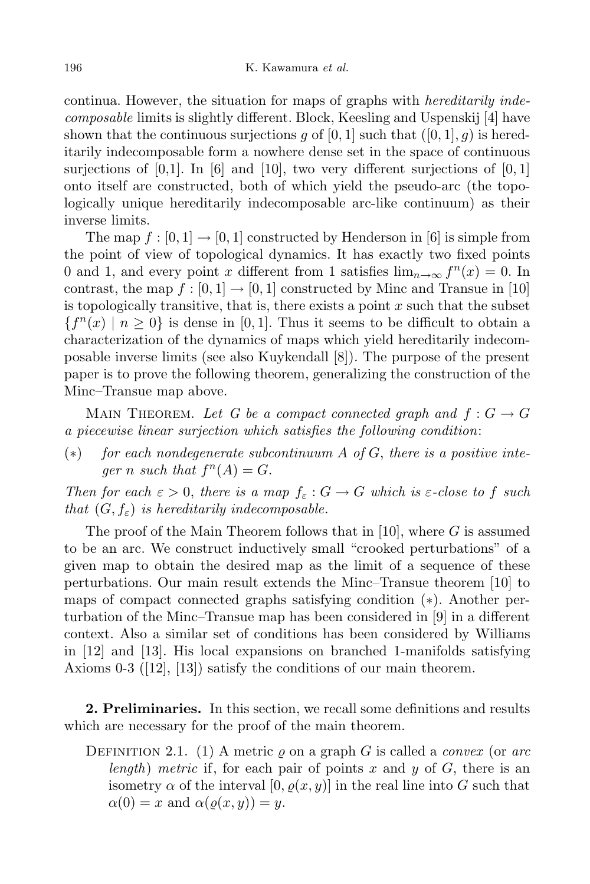continua. However, the situation for maps of graphs with *hereditarily inde*composable limits is slightly different. Block, Keesling and Uspenskij [4] have shown that the continuous surjections g of [0, 1] such that  $([0, 1], g)$  is hereditarily indecomposable form a nowhere dense set in the space of continuous surjections of  $[0,1]$ . In  $[6]$  and  $[10]$ , two very different surjections of  $[0,1]$ onto itself are constructed, both of which yield the pseudo-arc (the topologically unique hereditarily indecomposable arc-like continuum) as their inverse limits.

The map  $f : [0, 1] \to [0, 1]$  constructed by Henderson in [6] is simple from the point of view of topological dynamics. It has exactly two fixed points 0 and 1, and every point x different from 1 satisfies  $\lim_{n\to\infty} f^{n}(x) = 0$ . In contrast, the map  $f : [0, 1] \to [0, 1]$  constructed by Minc and Transue in [10] is topologically transitive, that is, there exists a point  $x$  such that the subset  ${f<sup>n</sup>(x) | n \ge 0}$  is dense in [0, 1]. Thus it seems to be difficult to obtain a characterization of the dynamics of maps which yield hereditarily indecomposable inverse limits (see also Kuykendall [8]). The purpose of the present paper is to prove the following theorem, generalizing the construction of the Minc–Transue map above.

MAIN THEOREM. Let G be a compact connected graph and  $f: G \to G$ a piecewise linear surjection which satisfies the following condition:

 $(*)$  for each nondegenerate subcontinuum A of G, there is a positive integer n such that  $f^n(A) = G$ .

Then for each  $\varepsilon > 0$ , there is a map  $f_{\varepsilon}: G \to G$  which is  $\varepsilon$ -close to f such that  $(G, f_{\varepsilon})$  is hereditarily indecomposable.

The proof of the Main Theorem follows that in [10], where  $G$  is assumed to be an arc. We construct inductively small "crooked perturbations" of a given map to obtain the desired map as the limit of a sequence of these perturbations. Our main result extends the Minc–Transue theorem [10] to maps of compact connected graphs satisfying condition (∗). Another perturbation of the Minc–Transue map has been considered in [9] in a different context. Also a similar set of conditions has been considered by Williams in [12] and [13]. His local expansions on branched 1-manifolds satisfying Axioms 0-3 ([12], [13]) satisfy the conditions of our main theorem.

2. Preliminaries. In this section, we recall some definitions and results which are necessary for the proof of the main theorem.

DEFINITION 2.1. (1) A metric  $\rho$  on a graph G is called a *convex* (or arc length) metric if, for each pair of points x and y of  $G$ , there is an isometry  $\alpha$  of the interval  $[0, \rho(x, y)]$  in the real line into G such that  $\alpha(0) = x$  and  $\alpha(\varrho(x, y)) = y$ .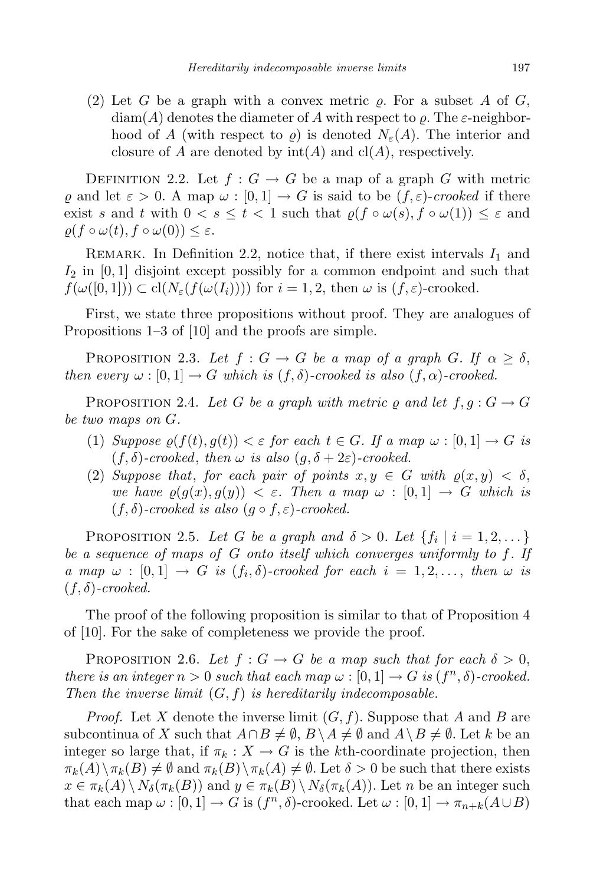(2) Let G be a graph with a convex metric  $\rho$ . For a subset A of G,  $\dim(A)$  denotes the diameter of A with respect to  $\rho$ . The  $\varepsilon$ -neighborhood of A (with respect to  $\rho$ ) is denoted  $N_{\varepsilon}(A)$ . The interior and closure of A are denoted by  $\text{int}(A)$  and  $\text{cl}(A)$ , respectively.

DEFINITION 2.2. Let  $f: G \to G$  be a map of a graph G with metric  $\rho$  and let  $\varepsilon > 0$ . A map  $\omega : [0, 1] \to G$  is said to be  $(f, \varepsilon)$ -crooked if there exist s and t with  $0 < s \leq t < 1$  such that  $\rho(f \circ \omega(s), f \circ \omega(1)) \leq \varepsilon$  and  $\rho(f \circ \omega(t), f \circ \omega(0)) \leq \varepsilon.$ 

REMARK. In Definition 2.2, notice that, if there exist intervals  $I_1$  and  $I_2$  in [0, 1] disjoint except possibly for a common endpoint and such that  $f(\omega([0,1])) \subset cl(N_{\varepsilon}(f(\omega(I_i))))$  for  $i = 1, 2$ , then  $\omega$  is  $(f, \varepsilon)$ -crooked.

First, we state three propositions without proof. They are analogues of Propositions 1–3 of [10] and the proofs are simple.

PROPOSITION 2.3. Let  $f: G \to G$  be a map of a graph G. If  $\alpha \geq \delta$ , then every  $\omega : [0, 1] \to G$  which is  $(f, \delta)$ -crooked is also  $(f, \alpha)$ -crooked.

PROPOSITION 2.4. Let G be a graph with metric  $\rho$  and let  $f, g : G \to G$ be two maps on G.

- (1) Suppose  $\rho(f(t), g(t)) < \varepsilon$  for each  $t \in G$ . If a map  $\omega : [0, 1] \to G$  is  $(f, \delta)$ -crooked, then  $\omega$  is also  $(g, \delta + 2\varepsilon)$ -crooked.
- (2) Suppose that, for each pair of points  $x, y \in G$  with  $\rho(x, y) < \delta$ , we have  $\rho(g(x), g(y)) < \varepsilon$ . Then a map  $\omega : [0, 1] \to G$  which is  $(f, \delta)$ -crooked is also  $(g \circ f, \varepsilon)$ -crooked.

PROPOSITION 2.5. Let G be a graph and  $\delta > 0$ . Let  $\{f_i \mid i = 1, 2, ...\}$ be a sequence of maps of G onto itself which converges uniformly to f. If a map  $\omega : [0,1] \to G$  is  $(f_i, \delta)$ -crooked for each  $i = 1, 2, \ldots$ , then  $\omega$  is  $(f, \delta)$ -crooked.

The proof of the following proposition is similar to that of Proposition 4 of [10]. For the sake of completeness we provide the proof.

PROPOSITION 2.6. Let  $f: G \to G$  be a map such that for each  $\delta > 0$ , there is an integer  $n > 0$  such that each map  $\omega : [0,1] \to G$  is  $(f^n, \delta)$ -crooked. Then the inverse limit  $(G, f)$  is hereditarily indecomposable.

*Proof.* Let X denote the inverse limit  $(G, f)$ . Suppose that A and B are subcontinua of X such that  $A \cap B \neq \emptyset$ ,  $B \setminus A \neq \emptyset$  and  $A \setminus B \neq \emptyset$ . Let k be an integer so large that, if  $\pi_k : X \to G$  is the kth-coordinate projection, then  $\pi_k(A)\setminus \pi_k(B) \neq \emptyset$  and  $\pi_k(B)\setminus \pi_k(A) \neq \emptyset$ . Let  $\delta > 0$  be such that there exists  $x \in \pi_k(A) \setminus N_\delta(\pi_k(B))$  and  $y \in \pi_k(B) \setminus N_\delta(\pi_k(A))$ . Let n be an integer such that each map  $\omega : [0,1] \to G$  is  $(f^n, \delta)$ -crooked. Let  $\omega : [0,1] \to \pi_{n+k}(A \cup B)$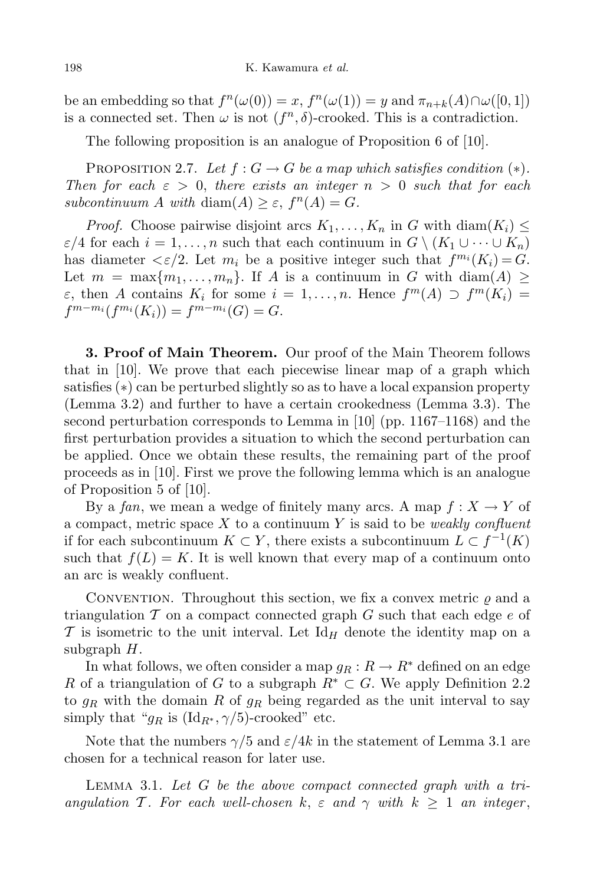be an embedding so that  $f^n(\omega(0)) = x$ ,  $f^n(\omega(1)) = y$  and  $\pi_{n+k}(A) \cap \omega([0,1])$ is a connected set. Then  $\omega$  is not  $(f^n, \delta)$ -crooked. This is a contradiction.

The following proposition is an analogue of Proposition 6 of [10].

PROPOSITION 2.7. Let  $f: G \to G$  be a map which satisfies condition  $(*)$ . Then for each  $\varepsilon > 0$ , there exists an integer  $n > 0$  such that for each subcontinuum A with  $\text{diam}(A) \geq \varepsilon$ ,  $f^{n}(A) = G$ .

*Proof.* Choose pairwise disjoint arcs  $K_1, \ldots, K_n$  in G with  $\text{diam}(K_i) \leq$  $\varepsilon/4$  for each  $i = 1, \ldots, n$  such that each continuum in  $G \setminus (K_1 \cup \cdots \cup K_n)$ has diameter  $\langle \varepsilon/2 \rangle$ . Let  $m_i$  be a positive integer such that  $f^{m_i}(K_i) = G$ . Let  $m = \max\{m_1, \ldots, m_n\}$ . If A is a continuum in G with diam(A)  $\ge$  $\varepsilon$ , then A contains  $K_i$  for some  $i = 1, \ldots, n$ . Hence  $f^m(A) \supset f^m(K_i) =$  $f^{m-m_i}(f^{m_i}(K_i)) = f^{m-m_i}(G) = G.$ 

3. Proof of Main Theorem. Our proof of the Main Theorem follows that in [10]. We prove that each piecewise linear map of a graph which satisfies (∗) can be perturbed slightly so as to have a local expansion property (Lemma 3.2) and further to have a certain crookedness (Lemma 3.3). The second perturbation corresponds to Lemma in [10] (pp. 1167–1168) and the first perturbation provides a situation to which the second perturbation can be applied. Once we obtain these results, the remaining part of the proof proceeds as in [10]. First we prove the following lemma which is an analogue of Proposition 5 of [10].

By a fan, we mean a wedge of finitely many arcs. A map  $f: X \to Y$  of a compact, metric space X to a continuum Y is said to be *weakly confluent* if for each subcontinuum  $K \subset Y$ , there exists a subcontinuum  $L \subset f^{-1}(K)$ such that  $f(L) = K$ . It is well known that every map of a continuum onto an arc is weakly confluent.

CONVENTION. Throughout this section, we fix a convex metric  $\rho$  and a triangulation  $\mathcal T$  on a compact connected graph  $G$  such that each edge  $e$  of  $\mathcal T$  is isometric to the unit interval. Let Id<sub>H</sub> denote the identity map on a subgraph  $H$ .

In what follows, we often consider a map  $g_R: R \to R^*$  defined on an edge R of a triangulation of G to a subgraph  $R^* \subset G$ . We apply Definition 2.2 to  $g_R$  with the domain R of  $g_R$  being regarded as the unit interval to say simply that " $g_R$  is  $(\text{Id}_{R^*}, \gamma/5)$ -crooked" etc.

Note that the numbers  $\gamma/5$  and  $\varepsilon/4k$  in the statement of Lemma 3.1 are chosen for a technical reason for later use.

LEMMA 3.1. Let  $G$  be the above compact connected graph with a triangulation T. For each well-chosen k,  $\varepsilon$  and  $\gamma$  with  $k \geq 1$  an integer,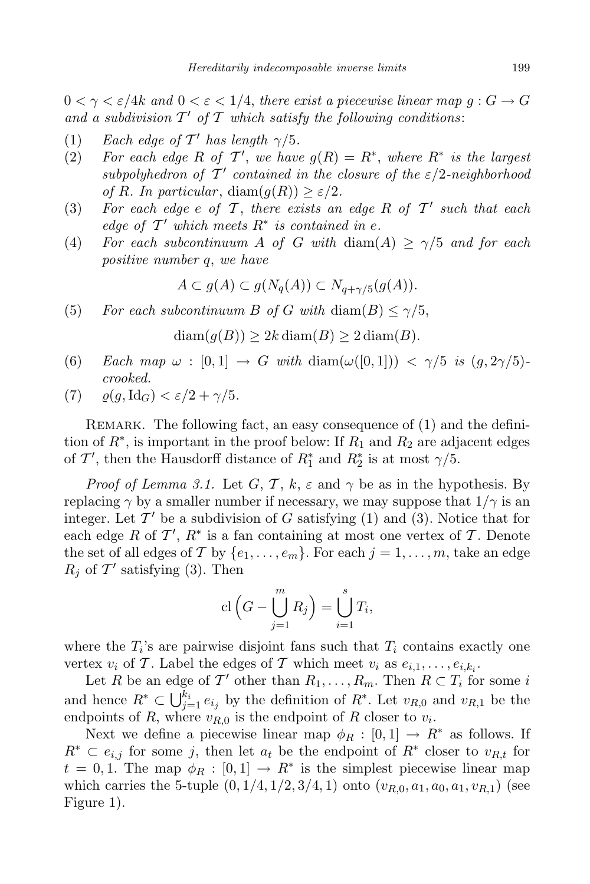$0 < \gamma < \varepsilon/4k$  and  $0 < \varepsilon < 1/4$ , there exist a piecewise linear map  $q : G \to G$ and a subdivision  $T'$  of  $T$  which satisfy the following conditions:

- (1) Each edge of  $T'$  has length  $\gamma/5$ .
- (2) For each edge R of T', we have  $g(R) = R^*$ , where  $R^*$  is the largest subpolyhedron of  $T'$  contained in the closure of the  $\varepsilon/2$ -neighborhood of R. In particular,  $\text{diam}(g(R)) \geq \varepsilon/2$ .
- (3) For each edge  $e$  of  $T$ , there exists an edge  $R$  of  $T'$  such that each edge of  $T'$  which meets  $R^*$  is contained in e.
- (4) For each subcontinuum A of G with  $\text{diam}(A) \geq \gamma/5$  and for each positive number q, we have

$$
A \subset g(A) \subset g(N_q(A)) \subset N_{q+\gamma/5}(g(A)).
$$

(5) For each subcontinuum B of G with diam(B)  $\leq \gamma/5$ ,

$$
diam(g(B)) \ge 2k diam(B) \ge 2 diam(B).
$$

- (6) Each map  $\omega : [0,1] \rightarrow G$  with  $\text{diam}(\omega([0,1])) < \gamma/5$  is  $(g, 2\gamma/5)$ crooked.
- (7)  $\rho(g,\mathrm{Id}_G) < \varepsilon/2 + \gamma/5$ .

REMARK. The following fact, an easy consequence of (1) and the definition of  $R^*$ , is important in the proof below: If  $R_1$  and  $R_2$  are adjacent edges of T', then the Hausdorff distance of  $R_1^*$  and  $R_2^*$  is at most  $\gamma/5$ .

*Proof of Lemma 3.1.* Let G, T, k,  $\varepsilon$  and  $\gamma$  be as in the hypothesis. By replacing  $\gamma$  by a smaller number if necessary, we may suppose that  $1/\gamma$  is an integer. Let  $\mathcal{T}'$  be a subdivision of G satisfying (1) and (3). Notice that for each edge R of  $\mathcal{T}'$ ,  $R^*$  is a fan containing at most one vertex of T. Denote the set of all edges of T by  $\{e_1, \ldots, e_m\}$ . For each  $j = 1, \ldots, m$ , take an edge  $R_j$  of  $\mathcal{T}'$  satisfying (3). Then

$$
\mathrm{cl}\left(G-\bigcup_{j=1}^m R_j\right)=\bigcup_{i=1}^s T_i,
$$

where the  $T_i$ 's are pairwise disjoint fans such that  $T_i$  contains exactly one vertex  $v_i$  of T. Label the edges of T which meet  $v_i$  as  $e_{i,1}, \ldots, e_{i,k_i}$ .

Let R be an edge of T' other than  $R_1, \ldots, R_m$ . Then  $R \subset T_i$  for some i and hence  $R^* \subset \bigcup_{j=1}^{k_i} e_{i_j}$  by the definition of  $R^*$ . Let  $v_{R,0}$  and  $v_{R,1}$  be the endpoints of R, where  $v_{R,0}$  is the endpoint of R closer to  $v_i$ .

Next we define a piecewise linear map  $\phi_R : [0,1] \to R^*$  as follows. If  $R^* \subset e_{i,j}$  for some j, then let  $a_t$  be the endpoint of  $R^*$  closer to  $v_{R,t}$  for  $t = 0, 1$ . The map  $\phi_R : [0,1] \to R^*$  is the simplest piecewise linear map which carries the 5-tuple  $(0, 1/4, 1/2, 3/4, 1)$  onto  $(v_{R,0}, a_1, a_0, a_1, v_{R,1})$  (see Figure 1).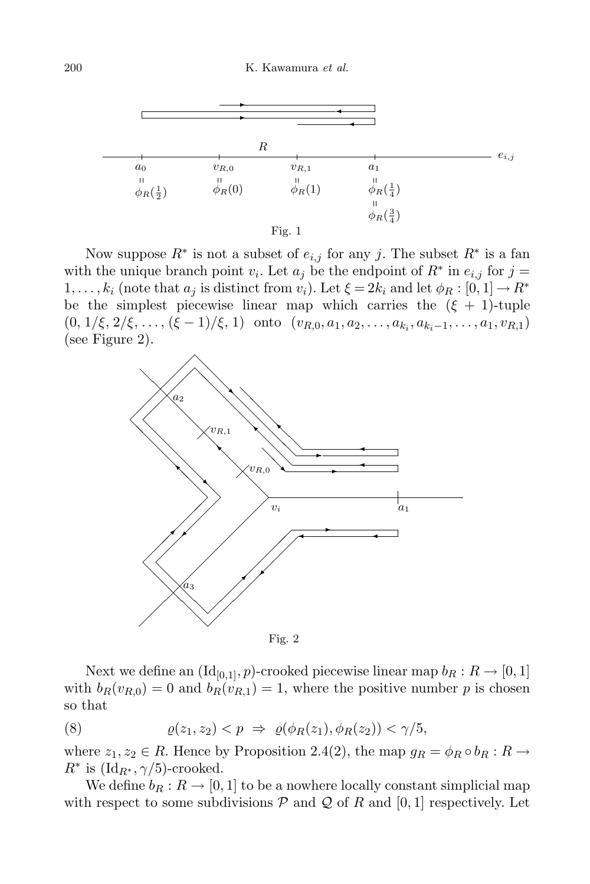

Now suppose  $R^*$  is not a subset of  $e_{i,j}$  for any j. The subset  $R^*$  is a fan with the unique branch point  $v_i$ . Let  $a_j$  be the endpoint of  $R^*$  in  $e_{i,j}$  for  $j =$ 1, ...,  $k_i$  (note that  $a_j$  is distinct from  $v_i$ ). Let  $\xi = 2k_i$  and let  $\phi_R : [0, 1] \to R^*$ be the simplest piecewise linear map which carries the  $(\xi + 1)$ -tuple  $(0, 1/\xi, 2/\xi, \ldots, (\xi-1)/\xi, 1)$  onto  $(v_{R,0}, a_1, a_2, \ldots, a_{k_i}, a_{k_i-1}, \ldots, a_1, v_{R,1})$ (see Figure 2).



Fig. 2

Next we define an  $(\mathrm{Id}_{[0,1]}, p)$ -crooked piecewise linear map  $b_R : R \to [0,1]$ with  $b_R(v_{R,0}) = 0$  and  $b_R(v_{R,1}) = 1$ , where the positive number p is chosen so that

(8) 
$$
\varrho(z_1, z_2) < p \Rightarrow \varrho(\phi_R(z_1), \phi_R(z_2)) < \gamma/5,
$$

where  $z_1, z_2 \in R$ . Hence by Proposition 2.4(2), the map  $g_R = \phi_R \circ b_R : R \to$  $R^*$  is  $(\mathrm{Id}_{R^*}, \gamma/5)$ -crooked.

We define  $b_R : R \to [0, 1]$  to be a nowhere locally constant simplicial map with respect to some subdivisions  $P$  and  $Q$  of R and [0, 1] respectively. Let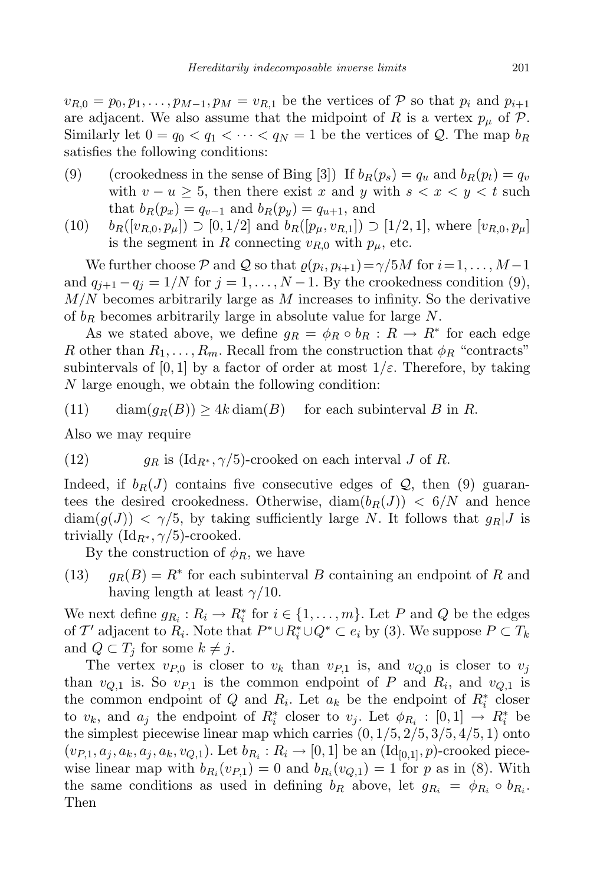$v_{R,0} = p_0, p_1, \ldots, p_{M-1}, p_M = v_{R,1}$  be the vertices of P so that  $p_i$  and  $p_{i+1}$ are adjacent. We also assume that the midpoint of R is a vertex  $p_{\mu}$  of P. Similarly let  $0 = q_0 < q_1 < \cdots < q_N = 1$  be the vertices of Q. The map  $b_R$ satisfies the following conditions:

- (9) (crookedness in the sense of Bing [3]) If  $b_R(p_s) = q_u$  and  $b_R(p_t) = q_v$ with  $v - u \geq 5$ , then there exist x and y with  $s < x < y < t$  such that  $b_R(p_x) = q_{v-1}$  and  $b_R(p_y) = q_{u+1}$ , and
- (10)  $b_R([v_{R,0}, p_\mu]) \supset [0, 1/2]$  and  $b_R([p_\mu, v_{R,1}]) \supset [1/2, 1]$ , where  $[v_{R,0}, p_\mu]$ is the segment in R connecting  $v_{R,0}$  with  $p_{\mu}$ , etc.

We further choose  $P$  and  $Q$  so that  $\varrho(p_i, p_{i+1}) = \gamma/5M$  for  $i = 1, ..., M-1$ and  $q_{j+1} - q_j = 1/N$  for  $j = 1, ..., N-1$ . By the crookedness condition (9),  $M/N$  becomes arbitrarily large as M increases to infinity. So the derivative of  $b_R$  becomes arbitrarily large in absolute value for large  $N$ .

As we stated above, we define  $g_R = \phi_R \circ b_R : R \to R^*$  for each edge R other than  $R_1, \ldots, R_m$ . Recall from the construction that  $\phi_R$  "contracts" subintervals of [0, 1] by a factor of order at most  $1/\varepsilon$ . Therefore, by taking N large enough, we obtain the following condition:

(11) 
$$
\operatorname{diam}(g_R(B)) \ge 4k \operatorname{diam}(B) \quad \text{ for each subinterval } B \text{ in } R.
$$

Also we may require

(12) 
$$
g_R
$$
 is  $(\text{Id}_{R^*}, \gamma/5)$ -crooked on each interval  $J$  of  $R$ .

Indeed, if  $b_R(J)$  contains five consecutive edges of Q, then (9) guarantees the desired crookedness. Otherwise,  $\text{diam}(b_R(J)) < 6/N$  and hence  $\text{diam}(g(J)) < \gamma/5$ , by taking sufficiently large N. It follows that  $g_R(J)$  is trivially  $(\mathrm{Id}_{R^*}, \gamma/5)$ -crooked.

By the construction of  $\phi_R$ , we have

(13)  $g_R(B) = R^*$  for each subinterval B containing an endpoint of R and having length at least  $\gamma/10$ .

We next define  $g_{R_i}: R_i \to R_i^*$  for  $i \in \{1, ..., m\}$ . Let P and Q be the edges of T' adjacent to  $R_i$ . Note that  $P^* \cup R_i^* \cup Q^* \subset e_i$  by (3). We suppose  $P \subset T_k$ and  $Q \subset T_i$  for some  $k \neq j$ .

The vertex  $v_{P,0}$  is closer to  $v_k$  than  $v_{P,1}$  is, and  $v_{Q,0}$  is closer to  $v_j$ than  $v_{Q,1}$  is. So  $v_{P,1}$  is the common endpoint of P and  $R_i$ , and  $v_{Q,1}$  is the common endpoint of Q and  $R_i$ . Let  $a_k$  be the endpoint of  $R_i^*$  closer to  $v_k$ , and  $a_j$  the endpoint of  $R_i^*$  closer to  $v_j$ . Let  $\phi_{R_i} : [0,1] \to R_i^*$  be the simplest piecewise linear map which carries  $(0, 1/5, 2/5, 3/5, 4/5, 1)$  onto  $(v_{P,1}, a_j, a_k, a_j, a_k, v_{Q,1})$ . Let  $b_{R_i}: R_i \to [0,1]$  be an  $(\mathrm{Id}_{[0,1]}, p)$ -crooked piecewise linear map with  $b_{R_i}(v_{P,1}) = 0$  and  $b_{R_i}(v_{Q,1}) = 1$  for p as in (8). With the same conditions as used in defining  $b_R$  above, let  $g_{R_i} = \phi_{R_i} \circ b_{R_i}$ . Then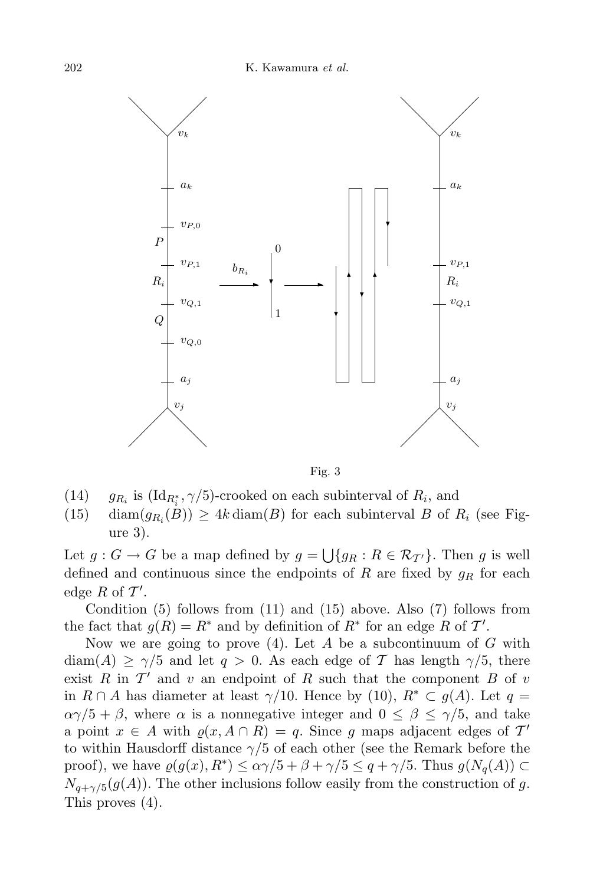

Fig. 3

- $(14)$ is  $(\mathrm{Id}_{R_i^*}, \gamma/5)$ -crooked on each subinterval of  $R_i$ , and
- (15) diam $(g_{R_i}(B)) \geq 4k \operatorname{diam}(B)$  for each subinterval B of  $R_i$  (see Figure 3).

Let  $g: G \to G$  be a map defined by  $g = \bigcup \{g_R : R \in \mathcal{R}_{\mathcal{I}'}\}$ . Then g is well defined and continuous since the endpoints of R are fixed by  $g_R$  for each edge R of  $\mathcal{T}'$ .

Condition (5) follows from (11) and (15) above. Also (7) follows from the fact that  $g(R) = R^*$  and by definition of  $R^*$  for an edge R of T'.

Now we are going to prove  $(4)$ . Let A be a subcontinuum of G with  $\text{diam}(A) \geq \gamma/5$  and let  $q > 0$ . As each edge of T has length  $\gamma/5$ , there exist  $R$  in  $\mathcal{T}'$  and v an endpoint of  $R$  such that the component  $B$  of  $v$ in  $R \cap A$  has diameter at least  $\gamma/10$ . Hence by (10),  $R^* \subset q(A)$ . Let  $q =$  $\alpha\gamma/5 + \beta$ , where  $\alpha$  is a nonnegative integer and  $0 \leq \beta \leq \gamma/5$ , and take a point  $x \in A$  with  $\varrho(x, A \cap R) = q$ . Since g maps adjacent edges of  $T'$ to within Hausdorff distance  $\gamma/5$  of each other (see the Remark before the proof), we have  $\varrho(g(x), R^*) \leq \alpha \gamma/5 + \beta + \gamma/5 \leq q + \gamma/5$ . Thus  $g(N_q(A)) \subset$  $N_{q+\gamma/5}(g(A))$ . The other inclusions follow easily from the construction of g. This proves (4).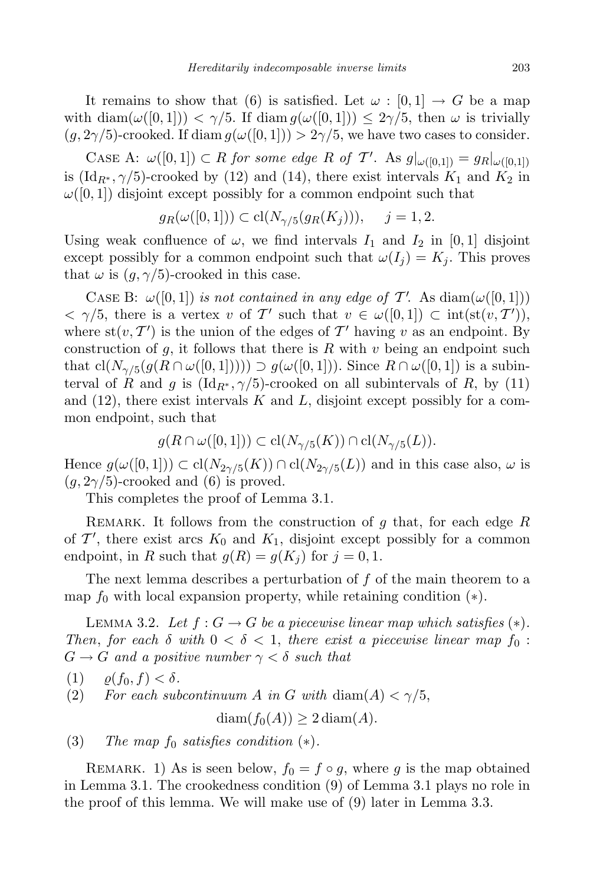It remains to show that (6) is satisfied. Let  $\omega : [0, 1] \to G$  be a map with diam( $\omega([0,1]) < \gamma/5$ . If diam  $g(\omega([0,1])) \leq 2\gamma/5$ , then  $\omega$  is trivially  $(g, 2\gamma/5)$ -crooked. If diam  $g(\omega([0, 1])) > 2\gamma/5$ , we have two cases to consider.

CASE A:  $\omega([0,1]) \subset R$  for some edge R of T'. As  $g|_{\omega([0,1])} = g_R|_{\omega([0,1])}$ is (Id<sub>R<sup>\*</sup></sub>, $\gamma/5$ )-crooked by (12) and (14), there exist intervals  $K_1$  and  $K_2$  in  $\omega([0,1])$  disjoint except possibly for a common endpoint such that

$$
g_R(\omega([0,1])) \subset cl(N_{\gamma/5}(g_R(K_j))), \quad j = 1, 2.
$$

Using weak confluence of  $\omega$ , we find intervals  $I_1$  and  $I_2$  in [0, 1] disjoint except possibly for a common endpoint such that  $\omega(I_i) = K_i$ . This proves that  $\omega$  is  $(g, \gamma/5)$ -crooked in this case.

CASE B:  $\omega([0,1])$  is not contained in any edge of T'. As  $\text{diam}(\omega([0,1]))$  $\langle \gamma/5, \text{ there is a vertex } v \text{ of } T' \text{ such that } v \in \omega([0,1]) \subset \text{int}(\text{st}(v,T'))$ where  $\text{st}(v, T')$  is the union of the edges of T' having v as an endpoint. By construction of  $g$ , it follows that there is  $R$  with  $v$  being an endpoint such that  $\text{cl}(N_{\gamma/5}(g(R \cap \omega([0,1]))) \supset g(\omega([0,1]))$ . Since  $R \cap \omega([0,1])$  is a subinterval of R and g is  $(\text{Id}_{R^*}, \gamma/5)$ -crooked on all subintervals of R, by (11) and  $(12)$ , there exist intervals K and L, disjoint except possibly for a common endpoint, such that

$$
g(R \cap \omega([0,1])) \subset \text{cl}(N_{\gamma/5}(K)) \cap \text{cl}(N_{\gamma/5}(L)).
$$

Hence  $g(\omega([0,1])) \subset \text{cl}(N_{2\gamma/5}(K)) \cap \text{cl}(N_{2\gamma/5}(L))$  and in this case also,  $\omega$  is  $(q, 2\gamma/5)$ -crooked and (6) is proved.

This completes the proof of Lemma 3.1.

REMARK. It follows from the construction of g that, for each edge  $R$ of  $\mathcal{T}'$ , there exist arcs  $K_0$  and  $K_1$ , disjoint except possibly for a common endpoint, in R such that  $g(R) = g(K_i)$  for  $j = 0, 1$ .

The next lemma describes a perturbation of f of the main theorem to a map  $f_0$  with local expansion property, while retaining condition  $(*)$ .

LEMMA 3.2. Let  $f: G \to G$  be a piecewise linear map which satisfies  $(*)$ . Then, for each  $\delta$  with  $0 < \delta < 1$ , there exist a piecewise linear map  $f_0$ :  $G \to G$  and a positive number  $\gamma < \delta$  such that

- (1)  $\rho(f_0, f) < \delta$ .
- (2) For each subcontinuum A in G with diam(A)  $\lt \gamma/5$ ,

 $diam(f_0(A)) \geq 2 diam(A)$ .

(3) The map  $f_0$  satisfies condition  $(*)$ .

REMARK. 1) As is seen below,  $f_0 = f \circ g$ , where g is the map obtained in Lemma 3.1. The crookedness condition (9) of Lemma 3.1 plays no role in the proof of this lemma. We will make use of (9) later in Lemma 3.3.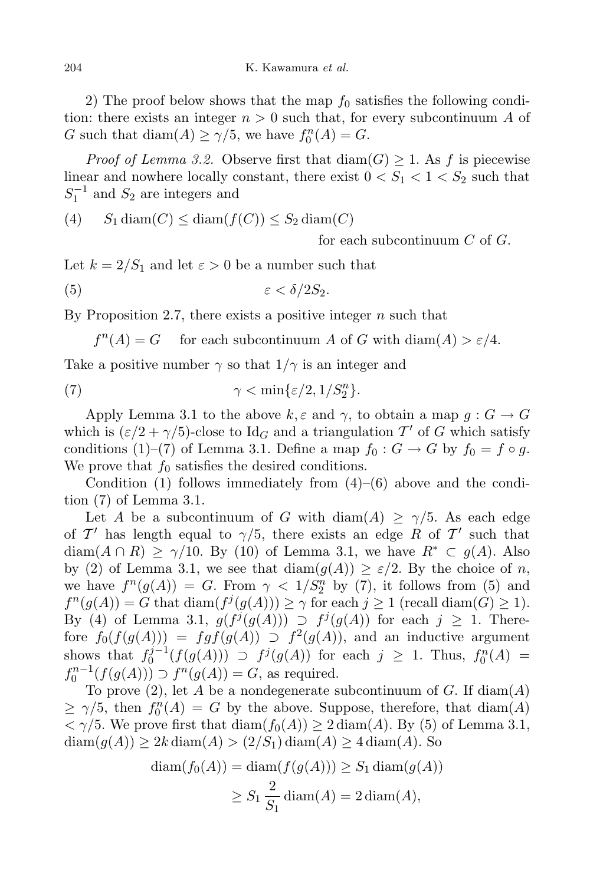2) The proof below shows that the map  $f_0$  satisfies the following condition: there exists an integer  $n > 0$  such that, for every subcontinuum A of G such that  $\text{diam}(A) \ge \gamma/5$ , we have  $f_0^n(A) = G$ .

*Proof of Lemma 3.2.* Observe first that  $\text{diam}(G) \geq 1$ . As f is piecewise linear and nowhere locally constant, there exist  $0 < S_1 < 1 < S_2$  such that  $S_1^{-1}$  and  $S_2$  are integers and

(4) 
$$
S_1 \text{diam}(C) \leq \text{diam}(f(C)) \leq S_2 \text{diam}(C)
$$

for each subcontinuum  $C$  of  $G$ .

Let  $k = 2/S_1$  and let  $\varepsilon > 0$  be a number such that

$$
(5) \t\t\t \varepsilon < \delta/2S_2.
$$

By Proposition 2.7, there exists a positive integer  $n$  such that

 $f^{n}(A) = G$  for each subcontinuum A of G with  $\text{diam}(A) > \varepsilon/4$ .

Take a positive number  $\gamma$  so that  $1/\gamma$  is an integer and

(7) 
$$
\gamma < \min\{\varepsilon/2, 1/S_2^n\}.
$$

Apply Lemma 3.1 to the above  $k, \varepsilon$  and  $\gamma$ , to obtain a map  $g : G \to G$ which is  $(\varepsilon/2 + \gamma/5)$ -close to Id<sub>G</sub> and a triangulation T' of G which satisfy conditions (1)–(7) of Lemma 3.1. Define a map  $f_0: G \to G$  by  $f_0 = f \circ g$ . We prove that  $f_0$  satisfies the desired conditions.

Condition (1) follows immediately from  $(4)$ – $(6)$  above and the condition (7) of Lemma 3.1.

Let A be a subcontinuum of G with diam(A)  $\geq \gamma/5$ . As each edge of  $\mathcal{T}'$  has length equal to  $\gamma/5$ , there exists an edge R of T' such that  $diam(A \cap R) \ge \gamma/10$ . By (10) of Lemma 3.1, we have  $R^* \subset g(A)$ . Also by (2) of Lemma 3.1, we see that  $\text{diam}(g(A)) \geq \varepsilon/2$ . By the choice of n, we have  $f^{n}(g(A)) = G$ . From  $\gamma < 1/S_2^{n}$  by (7), it follows from (5) and  $f^{n}(g(A)) = G$  that  $\text{diam}(f^{j}(g(A))) \geq \gamma$  for each  $j \geq 1$  (recall  $\text{diam}(G) \geq 1$ ). By (4) of Lemma 3.1,  $g(f^j(g(A))) \supset f^j(g(A))$  for each  $j \geq 1$ . Therefore  $f_0(f(g(A))) = fgf(g(A)) \supset f^2(g(A))$ , and an inductive argument shows that  $f_0^{j-1}$  $f_0^{j-1}(f(g(A)))$  ⊃  $f^j(g(A))$  for each  $j \ge 1$ . Thus,  $f_0^n(A) =$  $f_0^{n-1}(f(g(A))) \supset f^n(g(A)) = G$ , as required.

To prove  $(2)$ , let A be a nondegenerate subcontinuum of G. If  $\text{diam}(A)$  $\geq \gamma/5$ , then  $f_0^n(A) = G$  by the above. Suppose, therefore, that  $\text{diam}(A)$  $<\gamma/5$ . We prove first that  $\text{diam}(f_0(A)) \geq 2 \text{diam}(A)$ . By (5) of Lemma 3.1,  $\text{diam}(g(A)) \geq 2k \text{diam}(A) > (2/S_1) \text{diam}(A) \geq 4 \text{diam}(A)$ . So

$$
diam(f_0(A)) = diam(f(g(A))) \ge S_1 diam(g(A))
$$
  

$$
\ge S_1 \frac{2}{S_1} diam(A) = 2 diam(A),
$$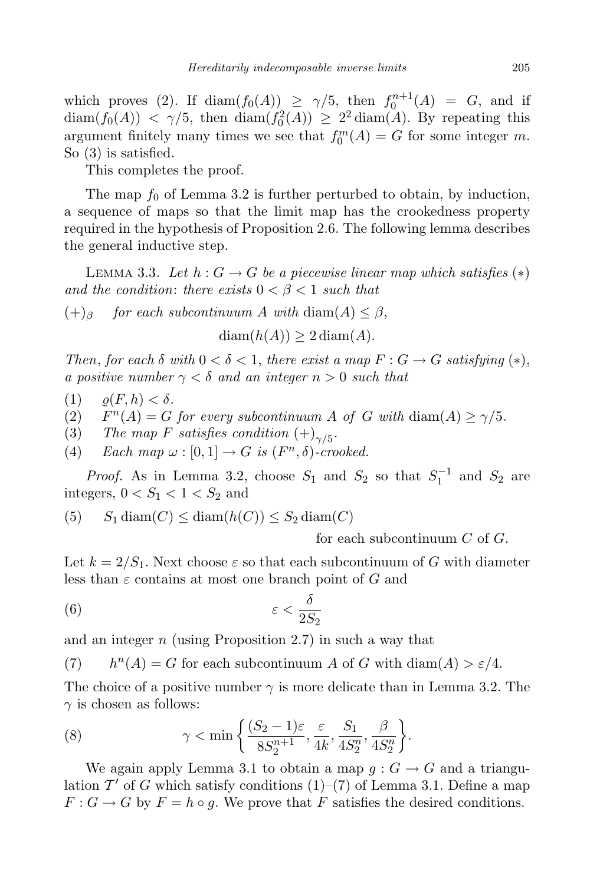which proves (2). If  $\text{diam}(f_0(A)) \geq \gamma/5$ , then  $f_0^{n+1}(A) = G$ , and if  $\text{diam}(f_0(A)) < \gamma/5$ , then  $\text{diam}(f_0^2(A)) \geq 2^2 \text{diam}(A)$ . By repeating this argument finitely many times we see that  $f_0^m(A) = G$  for some integer m. So (3) is satisfied.

This completes the proof.

The map  $f_0$  of Lemma 3.2 is further perturbed to obtain, by induction, a sequence of maps so that the limit map has the crookedness property required in the hypothesis of Proposition 2.6. The following lemma describes the general inductive step.

LEMMA 3.3. Let  $h: G \to G$  be a piecewise linear map which satisfies  $(*)$ and the condition: there exists  $0 < \beta < 1$  such that

 $(+)$ <sub>β</sub> for each subcontinuum A with diam(A) < β,

 $diam(h(A)) > 2 diam(A)$ .

Then, for each  $\delta$  with  $0 < \delta < 1$ , there exist a map  $F : G \to G$  satisfying  $(*),$ a positive number  $\gamma < \delta$  and an integer  $n > 0$  such that

- (1)  $\rho(F, h) < \delta$ .
- $(2)$  $n(A) = G$  for every subcontinuum A of G with  $\text{diam}(A) \geq \gamma/5$ .
- (3) The map F satisfies condition  $(+)_{\gamma/5}$ .
- (4) Each map  $\omega : [0,1] \to G$  is  $(F<sup>n</sup>, \delta)$ -crooked.

*Proof.* As in Lemma 3.2, choose  $S_1$  and  $S_2$  so that  $S_1^{-1}$  and  $S_2$  are integers,  $0 < S_1 < 1 < S_2$  and

(5) 
$$
S_1 \text{diam}(C) \leq \text{diam}(h(C)) \leq S_2 \text{diam}(C)
$$

for each subcontinuum C of G.

Let  $k = 2/S_1$ . Next choose  $\varepsilon$  so that each subcontinuum of G with diameter less than  $\varepsilon$  contains at most one branch point of G and

$$
\varepsilon < \frac{\delta}{2S_2}
$$

and an integer  $n$  (using Proposition 2.7) in such a way that

 $(7)$  $n(A) = G$  for each subcontinuum A of G with diam $(A) > \varepsilon/4$ .

The choice of a positive number  $\gamma$  is more delicate than in Lemma 3.2. The  $\gamma$  is chosen as follows:

(8) 
$$
\gamma < \min \left\{ \frac{(S_2 - 1)\varepsilon}{8S_2^{n+1}}, \frac{\varepsilon}{4k}, \frac{S_1}{4S_2^n}, \frac{\beta}{4S_2^n} \right\}.
$$

We again apply Lemma 3.1 to obtain a map  $g: G \to G$  and a triangulation  $\overline{T'}$  of G which satisfy conditions (1)–(7) of Lemma 3.1. Define a map  $F: G \to G$  by  $F = h \circ g$ . We prove that F satisfies the desired conditions.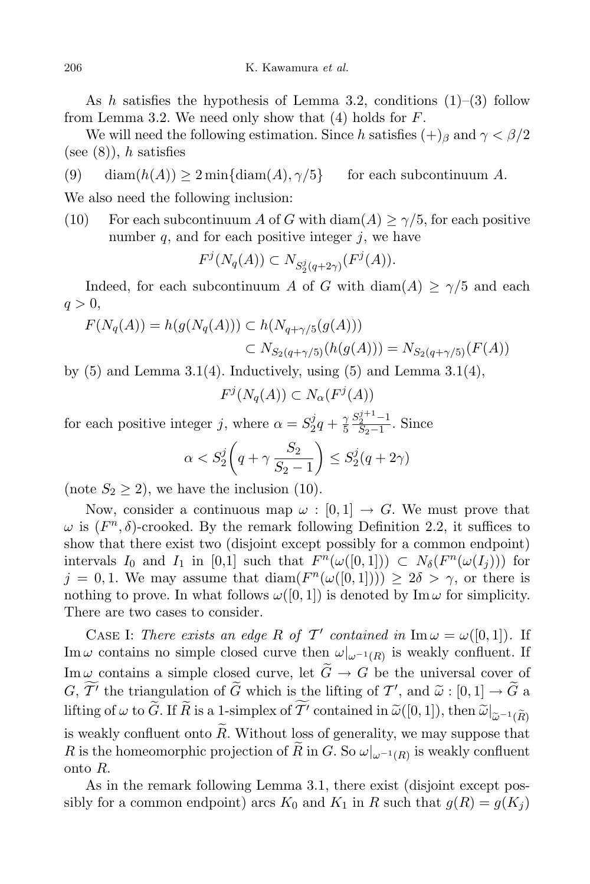As h satisfies the hypothesis of Lemma 3.2, conditions  $(1)$ – $(3)$  follow from Lemma 3.2. We need only show that  $(4)$  holds for  $F$ .

We will need the following estimation. Since h satisfies  $(+)$ <sub>β</sub> and  $\gamma < \beta/2$ (see  $(8)$ ), h satisfies

(9) diam $(h(A)) \geq 2 \min\{\text{diam}(A), \gamma/5\}$  for each subcontinuum A.

We also need the following inclusion:

(10) For each subcontinuum A of G with  $\text{diam}(A) \ge \gamma/5$ , for each positive number  $q$ , and for each positive integer  $j$ , we have

$$
F^j(N_q(A)) \subset N_{S^j_2(q+2\gamma)}(F^j(A)).
$$

Indeed, for each subcontinuum A of G with diam(A)  $\geq \gamma/5$  and each  $q > 0$ ,

$$
F(N_q(A)) = h(g(N_q(A))) \subset h(N_{q+\gamma/5}(g(A)))
$$
  

$$
\subset N_{S_2(q+\gamma/5)}(h(g(A))) = N_{S_2(q+\gamma/5)}(F(A))
$$

by  $(5)$  and Lemma 3.1(4). Inductively, using  $(5)$  and Lemma 3.1(4),

$$
F^j(N_q(A)) \subset N_\alpha(F^j(A))
$$

for each positive integer j, where  $\alpha = S_2^j$  $^{j}_{2}q + \frac{\gamma}{5}$ 5  $S_2^{j+1}$ -1  $\frac{S_2-1}{S_2-1}$ . Since

$$
\alpha < S_2^j \left( q + \gamma \frac{S_2}{S_2 - 1} \right) \le S_2^j (q + 2\gamma)
$$

(note  $S_2 \geq 2$ ), we have the inclusion (10).

Now, consider a continuous map  $\omega : [0, 1] \to G$ . We must prove that  $\omega$  is  $(F<sup>n</sup>, \delta)$ -crooked. By the remark following Definition 2.2, it suffices to show that there exist two (disjoint except possibly for a common endpoint) intervals  $I_0$  and  $I_1$  in [0,1] such that  $F^n(\omega([0,1])) \subset N_\delta(F^n(\omega(I_j)))$  for  $j = 0, 1$ . We may assume that  $\text{diam}(F^n(\omega([0,1])) \geq 2\delta > \gamma$ , or there is nothing to prove. In what follows  $\omega([0,1])$  is denoted by Im  $\omega$  for simplicity. There are two cases to consider.

CASE I: There exists an edge R of T' contained in  $\text{Im}\,\omega = \omega([0,1])$ . If Im  $\omega$  contains no simple closed curve then  $\omega|_{\omega^{-1}(R)}$  is weakly confluent. If Im  $\omega$  contains a simple closed curve, let  $\tilde{G} \to G$  be the universal cover of  $G, \widetilde{T'}$  the triangulation of  $\widetilde{G}$  which is the lifting of  $T'$ , and  $\widetilde{\omega} : [0,1] \to \widetilde{G}$  a lifting of  $\omega$  to  $\widetilde{G}$ . If  $\widetilde{R}$  is a 1-simplex of  $\widetilde{T'}$  contained in  $\widetilde{\omega}([0,1])$ , then  $\widetilde{\omega}|_{\widetilde{\omega}^{-1}(\widetilde{R})}$ is weakly confluent onto  $\tilde{R}$ . Without loss of generality, we may suppose that R is the homeomorphic projection of R in G. So  $\omega|_{\omega^{-1}(R)}$  is weakly confluent onto R.

As in the remark following Lemma 3.1, there exist (disjoint except possibly for a common endpoint) arcs  $K_0$  and  $K_1$  in R such that  $g(R) = g(K_i)$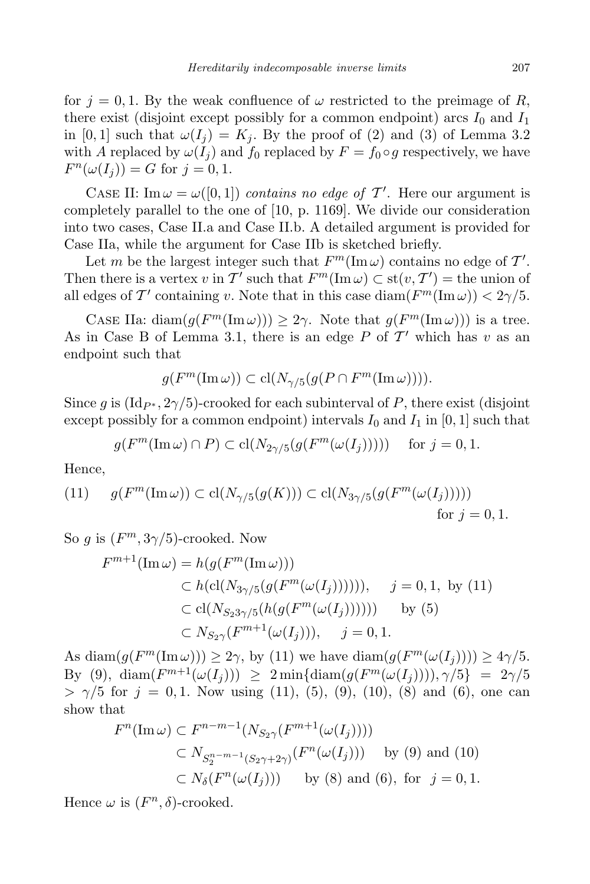for  $j = 0, 1$ . By the weak confluence of  $\omega$  restricted to the preimage of R, there exist (disjoint except possibly for a common endpoint) arcs  $I_0$  and  $I_1$ in [0,1] such that  $\omega(I_i) = K_i$ . By the proof of (2) and (3) of Lemma 3.2 with A replaced by  $\omega(I_i)$  and  $f_0$  replaced by  $F = f_0 \circ g$  respectively, we have  $F^{n}(\omega(I_j)) = G$  for  $j = 0, 1$ .

CASE II:  $\text{Im }\omega = \omega([0,1])$  contains no edge of T'. Here our argument is completely parallel to the one of [10, p. 1169]. We divide our consideration into two cases, Case II.a and Case II.b. A detailed argument is provided for Case IIa, while the argument for Case IIb is sketched briefly.

Let m be the largest integer such that  $F^m(\text{Im}\,\omega)$  contains no edge of  $\mathcal{T}'$ . Then there is a vertex v in  $\mathcal{T}'$  such that  $F^m(\text{Im}\,\omega) \subset \text{st}(v,\mathcal{T}') = \text{the union of}$ all edges of T' containing v. Note that in this case  $\text{diam}(F^m(\text{Im }\omega)) < 2\gamma/5$ .

CASE IIa: diam $(g(F^m(\text{Im}\,\omega))) \geq 2\gamma$ . Note that  $g(F^m(\text{Im}\,\omega)))$  is a tree. As in Case B of Lemma 3.1, there is an edge P of  $\mathcal{T}'$  which has v as an endpoint such that

$$
g(F^m(\operatorname{Im}\omega)) \subset \operatorname{cl}(N_{\gamma/5}(g(P \cap F^m(\operatorname{Im}\omega)))).
$$

Since g is  $(\text{Id}_{P^*}, 2\gamma/5)$ -crooked for each subinterval of P, there exist (disjoint except possibly for a common endpoint) intervals  $I_0$  and  $I_1$  in [0, 1] such that

$$
g(F^m(\operatorname{Im} \omega) \cap P) \subset \operatorname{cl}(N_{2\gamma/5}(g(F^m(\omega(I_j))))) \quad \text{ for } j = 0, 1.
$$

Hence,

(11) 
$$
g(F^m(\text{Im}\,\omega)) \subset \text{cl}(N_{\gamma/5}(g(K))) \subset \text{cl}(N_{3\gamma/5}(g(F^m(\omega(I_j))))))
$$
 for  $j = 0, 1$ .

So g is  $(F^m, 3\gamma/5)$ -crooked. Now

$$
F^{m+1}(\text{Im}\,\omega) = h(g(F^m(\text{Im}\,\omega)))
$$
  
\n
$$
\subset h(\text{cl}(N_{3\gamma/5}(g(F^m(\omega(I_j)))))), \quad j = 0, 1, \text{ by (11)}
$$
  
\n
$$
\subset \text{cl}(N_{S_2 3\gamma/5}(h(g(F^m(\omega(I_j))))))) \quad \text{by (5)}
$$
  
\n
$$
\subset N_{S_2\gamma}(F^{m+1}(\omega(I_j))), \quad j = 0, 1.
$$

As  $\text{diam}(g(F^m(\text{Im }\omega))) \geq 2\gamma$ , by (11) we have  $\text{diam}(g(F^m(\omega(I_j)))) \geq 4\gamma/5$ . By (9),  $\text{diam}(F^{m+1}(\omega(I_j))) \geq 2 \min{\{\text{diam}(g(F^m(\omega(I_j)))), \gamma/5\}} = 2\gamma/5$  $> \gamma/5$  for  $j = 0, 1$ . Now using (11), (5), (9), (10), (8) and (6), one can show that

$$
F^{n}(\text{Im}\,\omega) \subset F^{n-m-1}(N_{S_{2}\gamma}(F^{m+1}(\omega(I_{j}))))
$$
  
\n
$$
\subset N_{S_{2}^{n-m-1}(S_{2}\gamma+2\gamma)}(F^{n}(\omega(I_{j}))) \text{ by (9) and (10)}
$$
  
\n
$$
\subset N_{\delta}(F^{n}(\omega(I_{j}))) \text{ by (8) and (6), for } j = 0, 1.
$$

Hence  $\omega$  is  $(F^n, \delta)$ -crooked.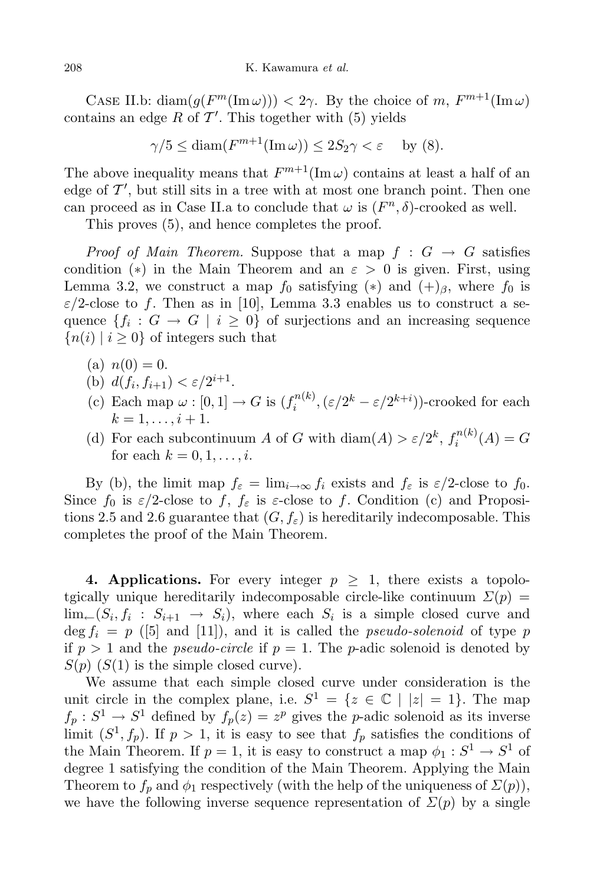CASE II.b: diam $(g(F^m(\text{Im}\,\omega))) < 2\gamma$ . By the choice of m,  $F^{m+1}(\text{Im}\,\omega)$ contains an edge  $R$  of  $\mathcal{T}'$ . This together with (5) yields

$$
\gamma/5 \le \text{diam}(F^{m+1}(\text{Im}\,\omega)) \le 2S_2\gamma < \varepsilon \quad \text{by (8)}.
$$

The above inequality means that  $F^{m+1}(\text{Im}\,\omega)$  contains at least a half of an edge of  $\mathcal{T}'$ , but still sits in a tree with at most one branch point. Then one can proceed as in Case II.a to conclude that  $\omega$  is  $(F<sup>n</sup>, \delta)$ -crooked as well.

This proves (5), and hence completes the proof.

*Proof of Main Theorem.* Suppose that a map  $f : G \to G$  satisfies condition (\*) in the Main Theorem and an  $\varepsilon > 0$  is given. First, using Lemma 3.2, we construct a map  $f_0$  satisfying  $(*)$  and  $(+)_\beta$ , where  $f_0$  is  $\varepsilon/2$ -close to f. Then as in [10], Lemma 3.3 enables us to construct a sequence  ${f_i: G \to G \mid i \geq 0}$  of surjections and an increasing sequence  ${n(i) | i \geq 0}$  of integers such that

- (a)  $n(0) = 0$ .
- (b)  $d(f_i, f_{i+1}) < \varepsilon/2^{i+1}$ .
- (c) Each map  $\omega : [0,1] \to G$  is  $(f_i^{n(k)})$  $\mathcal{L}_i^{n(k)}, (\varepsilon/2^k - \varepsilon/2^{k+i}))$ -crooked for each  $k = 1, \ldots, i + 1.$
- (d) For each subcontinuum A of G with  $\text{diam}(A) > \varepsilon/2^k$ ,  $f_i^{n(k)}$  $i^{n(\kappa)}(A)=G$ for each  $k = 0, 1, \ldots, i$ .

By (b), the limit map  $f_{\varepsilon} = \lim_{i \to \infty} f_i$  exists and  $f_{\varepsilon}$  is  $\varepsilon/2$ -close to  $f_0$ . Since  $f_0$  is  $\varepsilon/2$ -close to f,  $f_\varepsilon$  is  $\varepsilon$ -close to f. Condition (c) and Propositions 2.5 and 2.6 guarantee that  $(G, f_{\varepsilon})$  is hereditarily indecomposable. This completes the proof of the Main Theorem.

4. Applications. For every integer  $p \geq 1$ , there exists a topolotgically unique hereditarily indecomposable circle-like continuum  $\Sigma(p)$  =  $\lim_{k \to \infty} (S_i, f_i : S_{i+1} \to S_i)$ , where each  $S_i$  is a simple closed curve and  $\deg f_i = p$  ([5] and [11]), and it is called the *pseudo-solenoid* of type p if  $p > 1$  and the *pseudo-circle* if  $p = 1$ . The *p*-adic solenoid is denoted by  $S(p)$  ( $S(1)$ ) is the simple closed curve).

We assume that each simple closed curve under consideration is the unit circle in the complex plane, i.e.  $S^1 = \{z \in \mathbb{C} \mid |z| = 1\}.$  The map  $f_p: S^1 \to S^1$  defined by  $f_p(z) = z^p$  gives the *p*-adic solenoid as its inverse limit  $(S^1, f_p)$ . If  $p > 1$ , it is easy to see that  $f_p$  satisfies the conditions of the Main Theorem. If  $p = 1$ , it is easy to construct a map  $\phi_1 : S^1 \to S^1$  of degree 1 satisfying the condition of the Main Theorem. Applying the Main Theorem to  $f_p$  and  $\phi_1$  respectively (with the help of the uniqueness of  $\Sigma(p)$ ), we have the following inverse sequence representation of  $\Sigma(p)$  by a single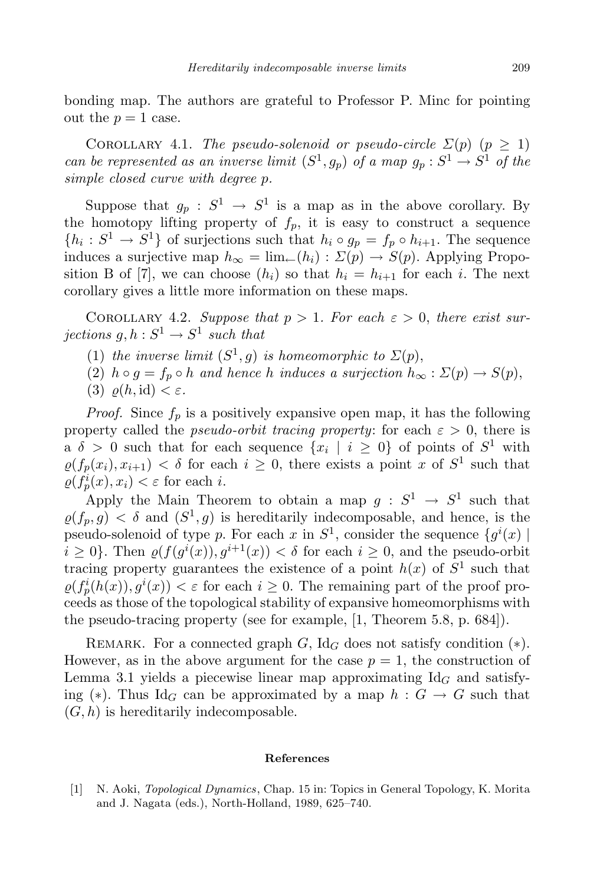bonding map. The authors are grateful to Professor P. Minc for pointing out the  $p = 1$  case.

COROLLARY 4.1. The pseudo-solenoid or pseudo-circle  $\Sigma(p)$   $(p \geq 1)$ can be represented as an inverse limit  $(S^1, g_p)$  of a map  $g_p : S^1 \to S^1$  of the simple closed curve with degree p.

Suppose that  $g_p: S^1 \to S^1$  is a map as in the above corollary. By the homotopy lifting property of  $f_p$ , it is easy to construct a sequence  ${h_i: S^1 \to S^1}$  of surjections such that  $h_i \circ g_p = f_p \circ h_{i+1}$ . The sequence induces a surjective map  $h_{\infty} = \lim_{\leftarrow} (h_i) : \Sigma(p) \to S(p)$ . Applying Proposition B of [7], we can choose  $(h_i)$  so that  $h_i = h_{i+1}$  for each i. The next corollary gives a little more information on these maps.

COROLLARY 4.2. Suppose that  $p > 1$ . For each  $\varepsilon > 0$ , there exist surjections  $g, h: S^1 \to S^1$  such that

- (1) the inverse limit  $(S^1, g)$  is homeomorphic to  $\Sigma(p)$ ,
- (2)  $h \circ g = f_p \circ h$  and hence h induces a surjection  $h_{\infty} : \Sigma(p) \to S(p)$ ,
- (3)  $\rho(h, id) < \varepsilon$ .

*Proof.* Since  $f_p$  is a positively expansive open map, it has the following property called the *pseudo-orbit tracing property*: for each  $\varepsilon > 0$ , there is a  $\delta > 0$  such that for each sequence  $\{x_i \mid i \geq 0\}$  of points of  $S^1$  with  $\varrho(f_p(x_i), x_{i+1}) < \delta$  for each  $i \geq 0$ , there exists a point x of  $S^1$  such that  $\varrho(f_p^i(x), x_i) < \varepsilon$  for each *i*.

Apply the Main Theorem to obtain a map  $g: S^1 \to S^1$  such that  $\varrho(f_p, g) < \delta$  and  $(S^1, g)$  is hereditarily indecomposable, and hence, is the pseudo-solenoid of type p. For each x in  $S^1$ , consider the sequence  $\{g^i(x) \mid$  $i \geq 0$ . Then  $\varrho(f(g^i(x)), g^{i+1}(x)) < \delta$  for each  $i \geq 0$ , and the pseudo-orbit tracing property guarantees the existence of a point  $h(x)$  of  $S<sup>1</sup>$  such that  $\varrho(f_p^i(h(x)), g^i(x)) < \varepsilon$  for each  $i \geq 0$ . The remaining part of the proof proceeds as those of the topological stability of expansive homeomorphisms with the pseudo-tracing property (see for example, [1, Theorem 5.8, p. 684]).

REMARK. For a connected graph G, Id<sub>G</sub> does not satisfy condition  $(*)$ . However, as in the above argument for the case  $p = 1$ , the construction of Lemma 3.1 yields a piecewise linear map approximating  $\mathrm{Id}_G$  and satisfying (\*). Thus Id<sub>G</sub> can be approximated by a map  $h : G \to G$  such that  $(G, h)$  is hereditarily indecomposable.

## References

[1] N. Aoki, Topological Dynamics, Chap. 15 in: Topics in General Topology, K. Morita and J. Nagata (eds.), North-Holland, 1989, 625–740.